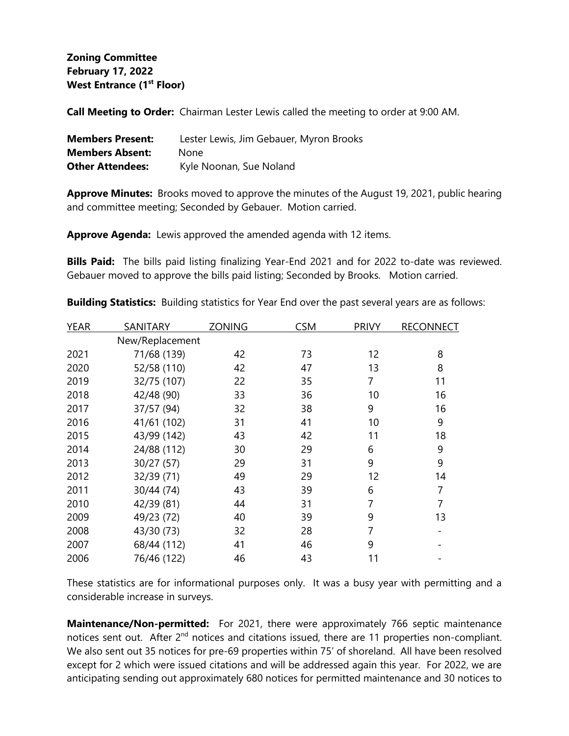## **Zoning Committee February 17, 2022 West Entrance (1st Floor)**

**Call Meeting to Order:** Chairman Lester Lewis called the meeting to order at 9:00 AM.

| <b>Members Present:</b> | Lester Lewis, Jim Gebauer, Myron Brooks |
|-------------------------|-----------------------------------------|
| <b>Members Absent:</b>  | <b>None</b>                             |
| <b>Other Attendees:</b> | Kyle Noonan, Sue Noland                 |

**Approve Minutes:** Brooks moved to approve the minutes of the August 19, 2021, public hearing and committee meeting; Seconded by Gebauer. Motion carried.

**Approve Agenda:** Lewis approved the amended agenda with 12 items.

**Bills Paid:** The bills paid listing finalizing Year-End 2021 and for 2022 to-date was reviewed. Gebauer moved to approve the bills paid listing; Seconded by Brooks. Motion carried.

| <b>YEAR</b> | <b>SANITARY</b> | <b>ZONING</b> | <b>CSM</b> | <b>PRIVY</b> | <b>RECONNECT</b> |
|-------------|-----------------|---------------|------------|--------------|------------------|
|             | New/Replacement |               |            |              |                  |
| 2021        | 71/68 (139)     | 42            | 73         | 12           | 8                |
| 2020        | 52/58 (110)     | 42            | 47         | 13           | 8                |
| 2019        | 32/75 (107)     | 22            | 35         | 7            | 11               |
| 2018        | 42/48 (90)      | 33            | 36         | 10           | 16               |
| 2017        | 37/57 (94)      | 32            | 38         | 9            | 16               |
| 2016        | 41/61 (102)     | 31            | 41         | 10           | 9                |
| 2015        | 43/99 (142)     | 43            | 42         | 11           | 18               |
| 2014        | 24/88 (112)     | 30            | 29         | 6            | 9                |
| 2013        | 30/27 (57)      | 29            | 31         | 9            | 9                |
| 2012        | 32/39 (71)      | 49            | 29         | 12           | 14               |
| 2011        | 30/44 (74)      | 43            | 39         | 6            | 7                |
| 2010        | 42/39 (81)      | 44            | 31         | 7            | 7                |
| 2009        | 49/23 (72)      | 40            | 39         | 9            | 13               |
| 2008        | 43/30 (73)      | 32            | 28         | 7            |                  |
| 2007        | 68/44 (112)     | 41            | 46         | 9            |                  |
| 2006        | 76/46 (122)     | 46            | 43         | 11           |                  |

**Building Statistics:** Building statistics for Year End over the past several years are as follows:

These statistics are for informational purposes only. It was a busy year with permitting and a considerable increase in surveys.

**Maintenance/Non-permitted:** For 2021, there were approximately 766 septic maintenance notices sent out. After 2<sup>nd</sup> notices and citations issued, there are 11 properties non-compliant. We also sent out 35 notices for pre-69 properties within 75' of shoreland. All have been resolved except for 2 which were issued citations and will be addressed again this year. For 2022, we are anticipating sending out approximately 680 notices for permitted maintenance and 30 notices to